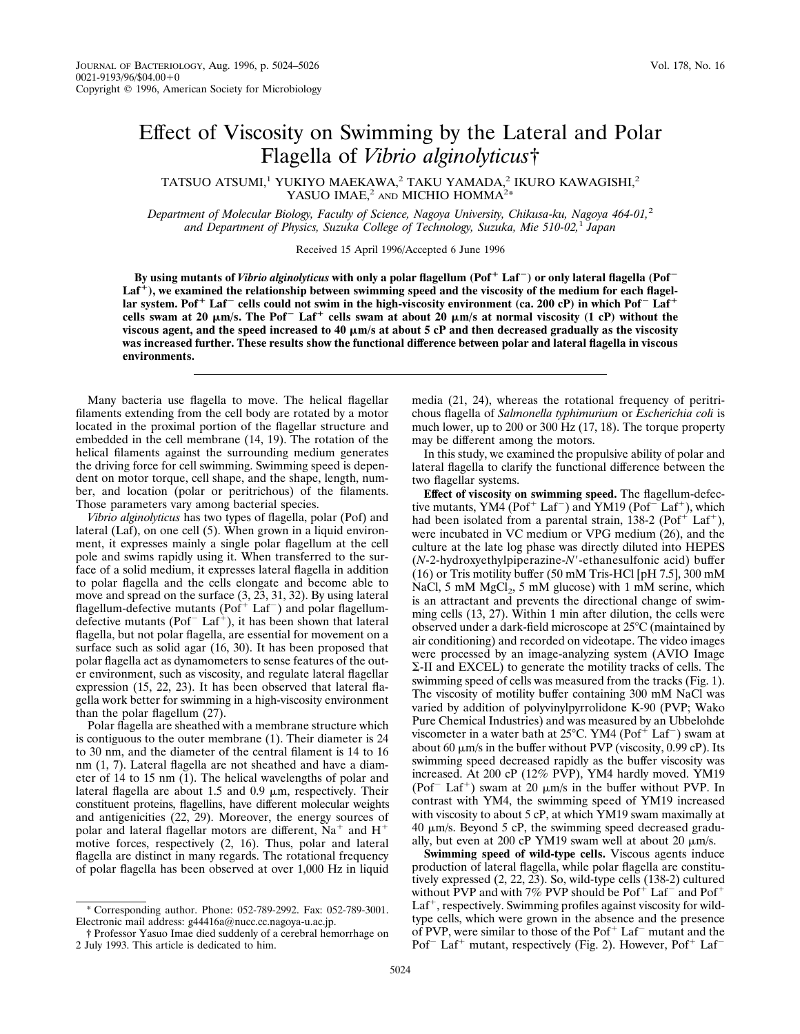## Effect of Viscosity on Swimming by the Lateral and Polar Flagella of *Vibrio alginolyticus*†

TATSUO ATSUMI,<sup>1</sup> YUKIYO MAEKAWA,<sup>2</sup> TAKU YAMADA,<sup>2</sup> IKURO KAWAGISHI,<sup>2</sup> YASUO IMAE, $^2$  and MICHIO HOMMA<sup>2\*</sup>

*Department of Molecular Biology, Faculty of Science, Nagoya University, Chikusa-ku, Nagoya 464-01,*<sup>2</sup> *and Department of Physics, Suzuka College of Technology, Suzuka, Mie 510-02,*<sup>1</sup> *Japan*

Received 15 April 1996/Accepted 6 June 1996

By using mutants of *Vibrio alginolyticus* with only a polar flagellum (Pof<sup>+</sup> Laf<sup>-</sup>) or only lateral flagella (Pof<sup>-</sup> Laf<sup>+</sup>), we examined the relationship between swimming speed and the viscosity of the medium for each flagel**lar system. Pof**<sup>+</sup> Laf<sup>-</sup> cells could not swim in the high-viscosity environment (ca. 200 cP) in which Pof<sup>-</sup> Laf<sup>+</sup> cells swam at 20  $\mu$ m/s. The Pof<sup>-</sup> Laf<sup>+</sup> cells swam at about 20  $\mu$ m/s at normal viscosity (1 cP) without the **viscous agent, and the speed increased to 40** m**m/s at about 5 cP and then decreased gradually as the viscosity was increased further. These results show the functional difference between polar and lateral flagella in viscous environments.**

Many bacteria use flagella to move. The helical flagellar filaments extending from the cell body are rotated by a motor located in the proximal portion of the flagellar structure and embedded in the cell membrane (14, 19). The rotation of the helical filaments against the surrounding medium generates the driving force for cell swimming. Swimming speed is dependent on motor torque, cell shape, and the shape, length, number, and location (polar or peritrichous) of the filaments. Those parameters vary among bacterial species.

*Vibrio alginolyticus* has two types of flagella, polar (Pof) and lateral (Laf), on one cell (5). When grown in a liquid environment, it expresses mainly a single polar flagellum at the cell pole and swims rapidly using it. When transferred to the surface of a solid medium, it expresses lateral flagella in addition to polar flagella and the cells elongate and become able to move and spread on the surface (3, 23, 31, 32). By using lateral flagellum-defective mutants ( $\text{Pof}^+$  Laf<sup>-</sup>) and polar flagellumdefective mutants ( $Pof<sup>-</sup> Laf<sup>+</sup>$ ), it has been shown that lateral flagella, but not polar flagella, are essential for movement on a surface such as solid agar (16, 30). It has been proposed that polar flagella act as dynamometers to sense features of the outer environment, such as viscosity, and regulate lateral flagellar expression (15, 22, 23). It has been observed that lateral flagella work better for swimming in a high-viscosity environment than the polar flagellum (27).

Polar flagella are sheathed with a membrane structure which is contiguous to the outer membrane (1). Their diameter is 24 to 30 nm, and the diameter of the central filament is 14 to 16 nm (1, 7). Lateral flagella are not sheathed and have a diameter of 14 to 15 nm (1). The helical wavelengths of polar and lateral flagella are about 1.5 and 0.9  $\mu$ m, respectively. Their constituent proteins, flagellins, have different molecular weights and antigenicities (22, 29). Moreover, the energy sources of polar and lateral flagellar motors are different,  $Na<sup>+</sup>$  and  $H<sup>+</sup>$ motive forces, respectively (2, 16). Thus, polar and lateral flagella are distinct in many regards. The rotational frequency of polar flagella has been observed at over 1,000 Hz in liquid

much lower, up to 200 or 300 Hz (17, 18). The torque property may be different among the motors. In this study, we examined the propulsive ability of polar and lateral flagella to clarify the functional difference between the two flagellar systems.

media (21, 24), whereas the rotational frequency of peritrichous flagella of *Salmonella typhimurium* or *Escherichia coli* is

**Effect of viscosity on swimming speed.** The flagellum-defective mutants, YM4 (Pof<sup>+</sup> Laf<sup>-</sup>) and YM19 (Pof<sup>-</sup> Laf<sup>+</sup>), which had been isolated from a parental strain,  $138-2$  (Pof<sup>+</sup> Laf<sup>+</sup>), were incubated in VC medium or VPG medium (26), and the culture at the late log phase was directly diluted into HEPES (*N*-2-hydroxyethylpiperazine-*N*9-ethanesulfonic acid) buffer (16) or Tris motility buffer (50 mM Tris-HCl [pH 7.5], 300 mM NaCl, 5 mM  $MgCl<sub>2</sub>$ , 5 mM glucose) with 1 mM serine, which is an attractant and prevents the directional change of swimming cells (13, 27). Within 1 min after dilution, the cells were observed under a dark-field microscope at  $25^{\circ}$ C (maintained by air conditioning) and recorded on videotape. The video images were processed by an image-analyzing system (AVIO Image S-II and EXCEL) to generate the motility tracks of cells. The swimming speed of cells was measured from the tracks (Fig. 1). The viscosity of motility buffer containing 300 mM NaCl was varied by addition of polyvinylpyrrolidone K-90 (PVP; Wako Pure Chemical Industries) and was measured by an Ubbelohde viscometer in a water bath at  $25^{\circ}$ C. YM4 (Pof<sup>+</sup> Laf<sup>-</sup>) swam at about 60  $\mu$ m/s in the buffer without PVP (viscosity, 0.99 cP). Its swimming speed decreased rapidly as the buffer viscosity was increased. At 200 cP (12% PVP), YM4 hardly moved. YM19 (Pof<sup>-</sup> Laf<sup>+</sup>) swam at 20  $\mu$ m/s in the buffer without PVP. In contrast with YM4, the swimming speed of YM19 increased with viscosity to about 5 cP, at which YM19 swam maximally at  $40 \mu m/s$ . Beyond 5 cP, the swimming speed decreased gradually, but even at 200 cP YM19 swam well at about 20  $\mu$ m/s.

**Swimming speed of wild-type cells.** Viscous agents induce production of lateral flagella, while polar flagella are constitutively expressed (2, 22, 23). So, wild-type cells (138-2) cultured without PVP and with 7% PVP should be  $Pof^+$  Laf<sup>-</sup> and  $Pof^+$  $Laf<sup>+</sup>$ , respectively. Swimming profiles against viscosity for wildtype cells, which were grown in the absence and the presence of PVP, were similar to those of the  $\text{Pof}^+$  Laf<sup>-</sup> mutant and the Pof<sup>-</sup> Laf<sup>+</sup> mutant, respectively (Fig. 2). However, Pof<sup>+</sup> Laf<sup>-</sup>

<sup>\*</sup> Corresponding author. Phone: 052-789-2992. Fax: 052-789-3001. Electronic mail address: g44416a@nucc.cc.nagoya-u.ac.jp.

<sup>†</sup> Professor Yasuo Imae died suddenly of a cerebral hemorrhage on 2 July 1993. This article is dedicated to him.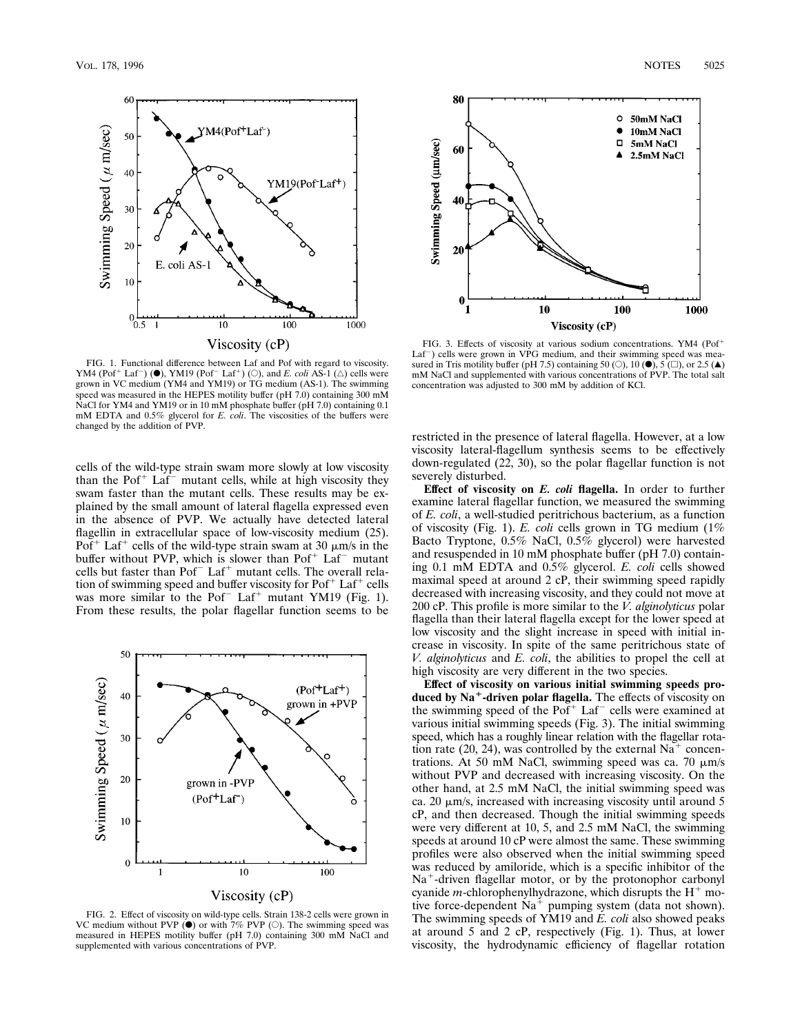

FIG. 1. Functional difference between Laf and Pof with regard to viscosity. YM4 (Pof<sup>+</sup> Laf<sup>-</sup>) ( $\bullet$ ), YM19 (Pof<sup>-</sup> Laf<sup>+</sup>) ( $\circ$ ), and *E. coli* AS-1 ( $\triangle$ ) cells were grown in VC medium (YM4 and YM19) or TG medium (AS-1). The swimming speed was measured in the HEPES motility buffer (pH 7.0) containing 300 mM NaCl for YM4 and YM19 or in 10 mM phosphate buffer (pH 7.0) containing 0.1 mM EDTA and 0.5% glycerol for *E. coli*. The viscosities of the buffers were changed by the addition of PVP.

cells of the wild-type strain swam more slowly at low viscosity than the Pof<sup>+</sup> Laf<sup>-</sup> mutant cells, while at high viscosity they swam faster than the mutant cells. These results may be explained by the small amount of lateral flagella expressed even in the absence of PVP. We actually have detected lateral flagellin in extracellular space of low-viscosity medium (25). Pof<sup>+</sup> Laf<sup>+</sup> cells of the wild-type strain swam at 30  $\mu$ m/s in the buffer without PVP, which is slower than  $\text{Pof}^+$  Laf<sup>-</sup> mutant cells but faster than  $\text{Pof}^-$  Laf<sup>+</sup> mutant cells. The overall relation of swimming speed and buffer viscosity for  $Pof<sup>+</sup>$  Laf<sup>+</sup> cells was more similar to the Pof<sup> $-$ </sup> Laf<sup> $+$ </sup> mutant YM19 (Fig. 1). From these results, the polar flagellar function seems to be



FIG. 2. Effect of viscosity on wild-type cells. Strain 138-2 cells were grown in VC medium without PVP  $(\bullet)$  or with 7% PVP ( $\circ$ ). The swimming speed was measured in HEPES motility buffer (pH 7.0) containing 300 mM NaCl and supplemented with various concentrations of PVP.



FIG. 3. Effects of viscosity at various sodium concentrations. YM4 (Pof<sup>+</sup>  $Laf^-$ ) cells were grown in VPG medium, and their swimming speed was measured in Tris motility buffer (pH 7.5) containing 50 (O), 10 ( $\bullet$ ),  $5(\square)$ , or 2.5 ( $\blacktriangle$ ) mM NaCl and supplemented with various concentrations of PVP. The total salt concentration was adjusted to 300 mM by addition of KCl.

restricted in the presence of lateral flagella. However, at a low viscosity lateral-flagellum synthesis seems to be effectively down-regulated (22, 30), so the polar flagellar function is not severely disturbed.

**Effect of viscosity on** *E. coli* **flagella.** In order to further examine lateral flagellar function, we measured the swimming of *E. coli*, a well-studied peritrichous bacterium, as a function of viscosity (Fig. 1). *E. coli* cells grown in TG medium (1% Bacto Tryptone, 0.5% NaCl, 0.5% glycerol) were harvested and resuspended in 10 mM phosphate buffer (pH 7.0) containing 0.1 mM EDTA and 0.5% glycerol. *E. coli* cells showed maximal speed at around 2 cP, their swimming speed rapidly decreased with increasing viscosity, and they could not move at 200 cP. This profile is more similar to the *V. alginolyticus* polar flagella than their lateral flagella except for the lower speed at low viscosity and the slight increase in speed with initial increase in viscosity. In spite of the same peritrichous state of *V. alginolyticus* and *E. coli*, the abilities to propel the cell at high viscosity are very different in the two species.

**Effect of viscosity on various initial swimming speeds pro**duced by Na<sup>+</sup>-driven polar flagella. The effects of viscosity on the swimming speed of the  $Pof<sup>+</sup>$  Laf<sup>-</sup> cells were examined at various initial swimming speeds (Fig. 3). The initial swimming speed, which has a roughly linear relation with the flagellar rotation rate (20, 24), was controlled by the external  $Na<sup>+</sup>$  concentrations. At 50 mM NaCl, swimming speed was ca. 70  $\mu$ m/s without PVP and decreased with increasing viscosity. On the other hand, at 2.5 mM NaCl, the initial swimming speed was ca. 20  $\mu$ m/s, increased with increasing viscosity until around 5 cP, and then decreased. Though the initial swimming speeds were very different at 10, 5, and 2.5 mM NaCl, the swimming speeds at around 10 cP were almost the same. These swimming profiles were also observed when the initial swimming speed was reduced by amiloride, which is a specific inhibitor of the  $Na<sup>+</sup>$ -driven flagellar motor, or by the protonophor carbonyl cyanide *m*-chlorophenylhydrazone, which disrupts the  $H^+$  motive force-dependent  $Na<sup>+</sup>$  pumping system (data not shown). The swimming speeds of YM19 and *E. coli* also showed peaks at around 5 and 2 cP, respectively (Fig. 1). Thus, at lower viscosity, the hydrodynamic efficiency of flagellar rotation